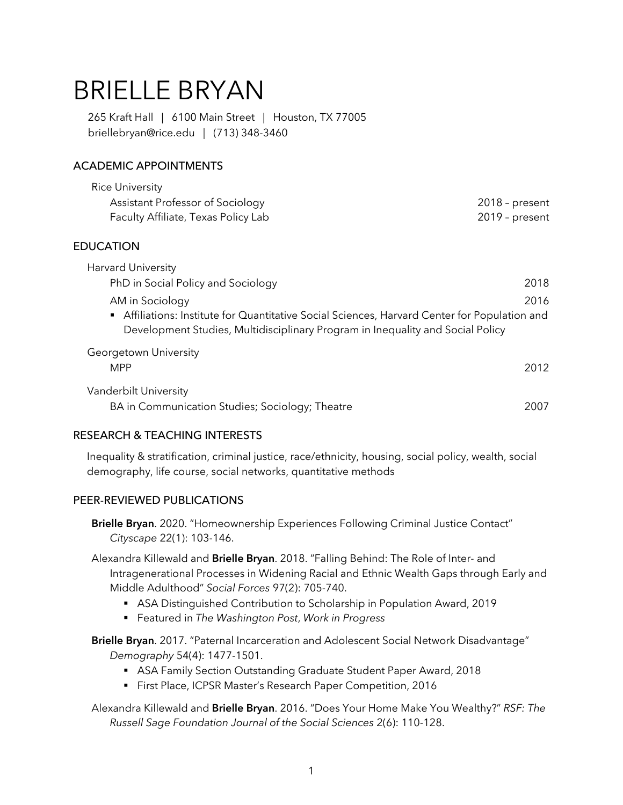# BRIELLE BRYAN

 265 Kraft Hall | 6100 Main Street | Houston, TX 77005 [briellebryan@rice.edu](mailto:briellebryan@rice.edu) | (713) 348-3460

# ACADEMIC APPOINTMENTS

| <b>Rice University</b>              |                  |
|-------------------------------------|------------------|
| Assistant Professor of Sociology    | $2018$ – present |
| Faculty Affiliate, Texas Policy Lab | 2019 - present   |
| <b>EDUCATION</b>                    |                  |
| <b>Harvard University</b>           |                  |

| PhD in Social Policy and Sociology                                                          | 2018 |
|---------------------------------------------------------------------------------------------|------|
| AM in Sociology                                                                             | 2016 |
| Affiliations: Institute for Quantitative Social Sciences, Harvard Center for Population and |      |
| Development Studies, Multidisciplinary Program in Inequality and Social Policy              |      |
| Georgetown University                                                                       |      |
| .                                                                                           |      |

| MPP                                             | 2012 |
|-------------------------------------------------|------|
| Vanderbilt University                           |      |
| BA in Communication Studies; Sociology; Theatre | 2007 |

## RESEARCH & TEACHING INTERESTS

 Inequality & stratification, criminal justice, race/ethnicity, housing, social policy, wealth, social demography, life course, social networks, quantitative methods

## PEER-REVIEWED PUBLICATIONS

**Brielle Bryan**. 2020. "Homeownership Experiences Following Criminal Justice Contact" *Cityscape* 22(1): 103-146.

Alexandra Killewald and **Brielle Bryan**. 2018. "Falling Behind: The Role of Inter- and Intragenerational Processes in Widening Racial and Ethnic Wealth Gaps through Early and Middle Adulthood" *Social Forces* 97(2): 705-740.

- ASA Distinguished Contribution to Scholarship in Population Award, 2019
- Featured in *The Washington Post*, *Work in Progress*
- **Brielle Bryan**. 2017. "Paternal Incarceration and Adolescent Social Network Disadvantage" *Demography* 54(4): 1477-1501.
	- ASA Family Section Outstanding Graduate Student Paper Award, 2018
	- First Place, ICPSR Master's Research Paper Competition, 2016

 *Russell Sage Foundation Journal of the Social Sciences* 2(6): 110-128. Alexandra Killewald and **Brielle Bryan**. 2016. "Does Your Home Make You Wealthy?" *RSF: The*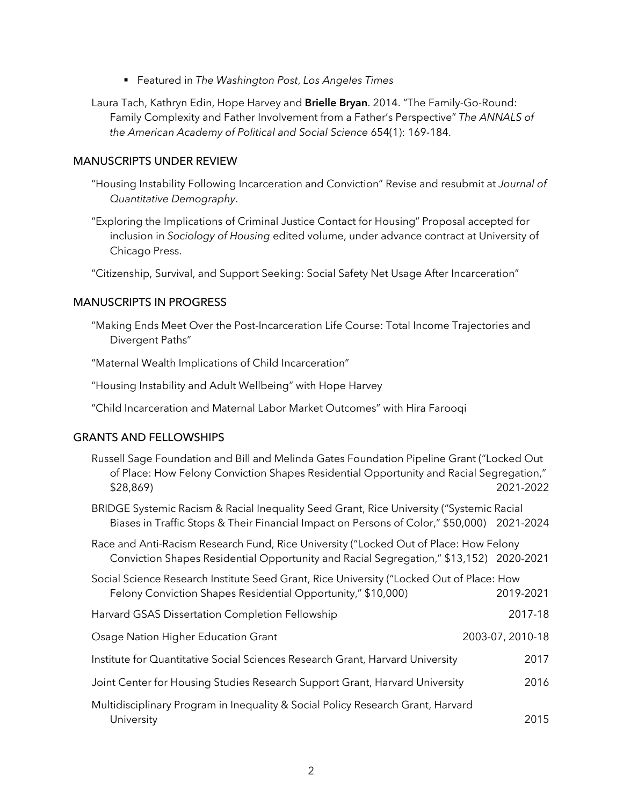• Featured in *The Washington Post*, *Los Angeles Times* 

 Family Complexity and Father Involvement from a Father's Perspective" *The ANNALS of*  Laura Tach, Kathryn Edin, Hope Harvey and **Brielle Bryan**. 2014. "The Family-Go-Round: *the American Academy of Political and Social Science* 654(1): 169-184.

## MANUSCRIPTS UNDER REVIEW

- "Housing Instability Following Incarceration and Conviction" Revise and resubmit at *Journal of Quantitative Demography*.
- "Exploring the Implications of Criminal Justice Contact for Housing" Proposal accepted for inclusion in *Sociology of Housing* edited volume, under advance contract at University of Chicago Press.

"Citizenship, Survival, and Support Seeking: Social Safety Net Usage After Incarceration"

## MANUSCRIPTS IN PROGRESS

 "Making Ends Meet Over the Post-Incarceration Life Course: Total Income Trajectories and Divergent Paths"

"Maternal Wealth Implications of Child Incarceration"

"Housing Instability and Adult Wellbeing" with Hope Harvey

"Child Incarceration and Maternal Labor Market Outcomes" with Hira Farooqi

## GRANTS AND FELLOWSHIPS

| Russell Sage Foundation and Bill and Melinda Gates Foundation Pipeline Grant ("Locked Out<br>of Place: How Felony Conviction Shapes Residential Opportunity and Racial Segregation,"<br>\$28,869 | 2021-2022        |
|--------------------------------------------------------------------------------------------------------------------------------------------------------------------------------------------------|------------------|
| BRIDGE Systemic Racism & Racial Inequality Seed Grant, Rice University ("Systemic Racial<br>Biases in Traffic Stops & Their Financial Impact on Persons of Color," \$50,000) 2021-2024           |                  |
| Race and Anti-Racism Research Fund, Rice University ("Locked Out of Place: How Felony<br>Conviction Shapes Residential Opportunity and Racial Segregation," \$13,152) 2020-2021                  |                  |
| Social Science Research Institute Seed Grant, Rice University ("Locked Out of Place: How<br>Felony Conviction Shapes Residential Opportunity," \$10,000)                                         | 2019-2021        |
| Harvard GSAS Dissertation Completion Fellowship                                                                                                                                                  | 2017-18          |
| Osage Nation Higher Education Grant                                                                                                                                                              | 2003-07, 2010-18 |
| Institute for Quantitative Social Sciences Research Grant, Harvard University                                                                                                                    | 2017             |
| Joint Center for Housing Studies Research Support Grant, Harvard University                                                                                                                      | 2016             |
| Multidisciplinary Program in Inequality & Social Policy Research Grant, Harvard<br>University                                                                                                    | 2015             |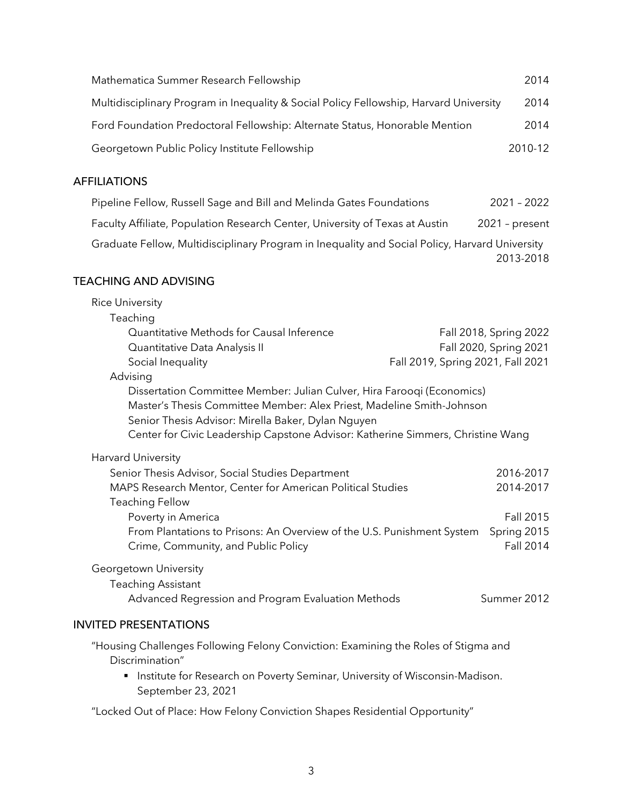| Mathematica Summer Research Fellowship                                                 | 2014    |
|----------------------------------------------------------------------------------------|---------|
| Multidisciplinary Program in Inequality & Social Policy Fellowship, Harvard University | 2014    |
| Ford Foundation Predoctoral Fellowship: Alternate Status, Honorable Mention            | 2014    |
| Georgetown Public Policy Institute Fellowship                                          | 2010-12 |

# AFFILIATIONS

| Pipeline Fellow, Russell Sage and Bill and Melinda Gates Foundations                           | $2021 - 2022$    |
|------------------------------------------------------------------------------------------------|------------------|
| Faculty Affiliate, Population Research Center, University of Texas at Austin                   | $2021$ - present |
| Graduate Fellow, Multidisciplinary Program in Inequality and Social Policy, Harvard University |                  |
|                                                                                                | 2013-2018        |

## TEACHING AND ADVISING

| <b>Rice University</b>                                                                                                                                                                                                                                                                   |                                   |
|------------------------------------------------------------------------------------------------------------------------------------------------------------------------------------------------------------------------------------------------------------------------------------------|-----------------------------------|
| Teaching                                                                                                                                                                                                                                                                                 |                                   |
| Quantitative Methods for Causal Inference                                                                                                                                                                                                                                                | Fall 2018, Spring 2022            |
| Quantitative Data Analysis II                                                                                                                                                                                                                                                            | Fall 2020, Spring 2021            |
| Social Inequality                                                                                                                                                                                                                                                                        | Fall 2019, Spring 2021, Fall 2021 |
| Advising                                                                                                                                                                                                                                                                                 |                                   |
| Dissertation Committee Member: Julian Culver, Hira Farooqi (Economics)<br>Master's Thesis Committee Member: Alex Priest, Madeline Smith-Johnson<br>Senior Thesis Advisor: Mirella Baker, Dylan Nguyen<br>Center for Civic Leadership Capstone Advisor: Katherine Simmers, Christine Wang |                                   |
| Harvard University                                                                                                                                                                                                                                                                       |                                   |
| Senior Thesis Advisor, Social Studies Department                                                                                                                                                                                                                                         | 2016-2017                         |
| MAPS Research Mentor, Center for American Political Studies                                                                                                                                                                                                                              | 2014-2017                         |
| <b>Teaching Fellow</b>                                                                                                                                                                                                                                                                   |                                   |
| Poverty in America                                                                                                                                                                                                                                                                       | Fall 2015                         |
| From Plantations to Prisons: An Overview of the U.S. Punishment System<br>Crime, Community, and Public Policy                                                                                                                                                                            | Spring 2015<br><b>Fall 2014</b>   |
| Georgetown University                                                                                                                                                                                                                                                                    |                                   |
| <b>Teaching Assistant</b>                                                                                                                                                                                                                                                                |                                   |
| Advanced Regression and Program Evaluation Methods                                                                                                                                                                                                                                       | Summer 2012                       |
| <b>INVITED PRESENTATIONS</b>                                                                                                                                                                                                                                                             |                                   |
| "Housing Challenges Following Felony Conviction: Examining the Roles of Stigma and<br>Discrimination"                                                                                                                                                                                    |                                   |
| Institute for Research on Poverty Seminar, University of Wisconsin-Madison.<br>٠<br>September 23, 2021                                                                                                                                                                                   |                                   |

"Locked Out of Place: How Felony Conviction Shapes Residential Opportunity"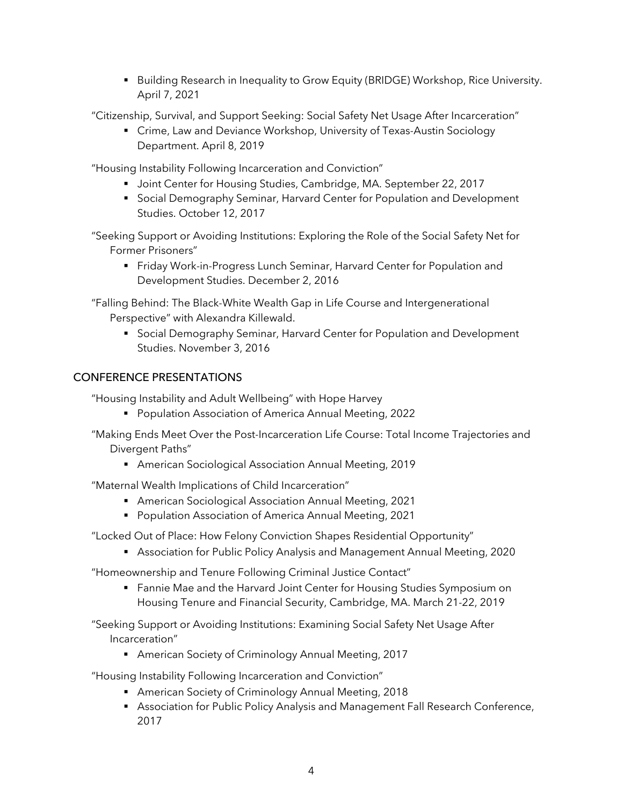• Building Research in Inequality to Grow Equity (BRIDGE) Workshop, Rice University. April 7, 2021

"Citizenship, Survival, and Support Seeking: Social Safety Net Usage After Incarceration"

 • Crime, Law and Deviance Workshop, University of Texas-Austin Sociology Department. April 8, 2019

"Housing Instability Following Incarceration and Conviction"

- Joint Center for Housing Studies, Cambridge, MA. September 22, 2017
- • Social Demography Seminar, Harvard Center for Population and Development Studies. October 12, 2017

 "Seeking Support or Avoiding Institutions: Exploring the Role of the Social Safety Net for Former Prisoners"

 • Friday Work-in-Progress Lunch Seminar, Harvard Center for Population and Development Studies. December 2, 2016

 "Falling Behind: The Black-White Wealth Gap in Life Course and Intergenerational Perspective" with Alexandra Killewald.

 • Social Demography Seminar, Harvard Center for Population and Development Studies. November 3, 2016

# CONFERENCE PRESENTATIONS

"Housing Instability and Adult Wellbeing" with Hope Harvey

• Population Association of America Annual Meeting, 2022

 "Making Ends Meet Over the Post-Incarceration Life Course: Total Income Trajectories and Divergent Paths"

• American Sociological Association Annual Meeting, 2019

"Maternal Wealth Implications of Child Incarceration"

- American Sociological Association Annual Meeting, 2021
- Population Association of America Annual Meeting, 2021

"Locked Out of Place: How Felony Conviction Shapes Residential Opportunity"

• Association for Public Policy Analysis and Management Annual Meeting, 2020

"Homeownership and Tenure Following Criminal Justice Contact"

 • Fannie Mae and the Harvard Joint Center for Housing Studies Symposium on Housing Tenure and Financial Security, Cambridge, MA. March 21-22, 2019

 "Seeking Support or Avoiding Institutions: Examining Social Safety Net Usage After Incarceration"

• American Society of Criminology Annual Meeting, 2017

"Housing Instability Following Incarceration and Conviction"

- American Society of Criminology Annual Meeting, 2018
- • Association for Public Policy Analysis and Management Fall Research Conference, 2017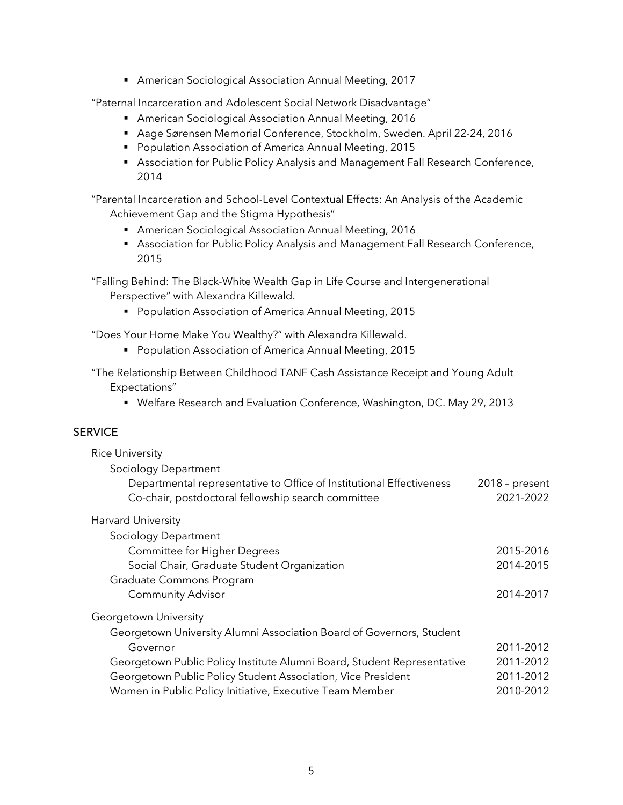• American Sociological Association Annual Meeting, 2017

"Paternal Incarceration and Adolescent Social Network Disadvantage"

- American Sociological Association Annual Meeting, 2016
- Aage Sørensen Memorial Conference, Stockholm, Sweden. April 22-24, 2016
- Population Association of America Annual Meeting, 2015
- • Association for Public Policy Analysis and Management Fall Research Conference, 2014

 "Parental Incarceration and School-Level Contextual Effects: An Analysis of the Academic Achievement Gap and the Stigma Hypothesis"

- American Sociological Association Annual Meeting, 2016
- • Association for Public Policy Analysis and Management Fall Research Conference, 2015

 "Falling Behind: The Black-White Wealth Gap in Life Course and Intergenerational Perspective" with Alexandra Killewald.

• Population Association of America Annual Meeting, 2015

"Does Your Home Make You Wealthy?" with Alexandra Killewald.

• Population Association of America Annual Meeting, 2015

 "The Relationship Between Childhood TANF Cash Assistance Receipt and Young Adult Expectations"

• Welfare Research and Evaluation Conference, Washington, DC. May 29, 2013

### **SERVICE**

| <b>Rice University</b>                                                  |                  |
|-------------------------------------------------------------------------|------------------|
| Sociology Department                                                    |                  |
| Departmental representative to Office of Institutional Effectiveness    | $2018$ - present |
| Co-chair, postdoctoral fellowship search committee                      | 2021-2022        |
| Harvard University                                                      |                  |
| Sociology Department                                                    |                  |
| <b>Committee for Higher Degrees</b>                                     | 2015-2016        |
| Social Chair, Graduate Student Organization                             | 2014-2015        |
| Graduate Commons Program                                                |                  |
| <b>Community Advisor</b>                                                | 2014-2017        |
| Georgetown University                                                   |                  |
| Georgetown University Alumni Association Board of Governors, Student    |                  |
| Governor                                                                | 2011-2012        |
| Georgetown Public Policy Institute Alumni Board, Student Representative | 2011-2012        |
| Georgetown Public Policy Student Association, Vice President            | 2011-2012        |
| Women in Public Policy Initiative, Executive Team Member                | 2010-2012        |